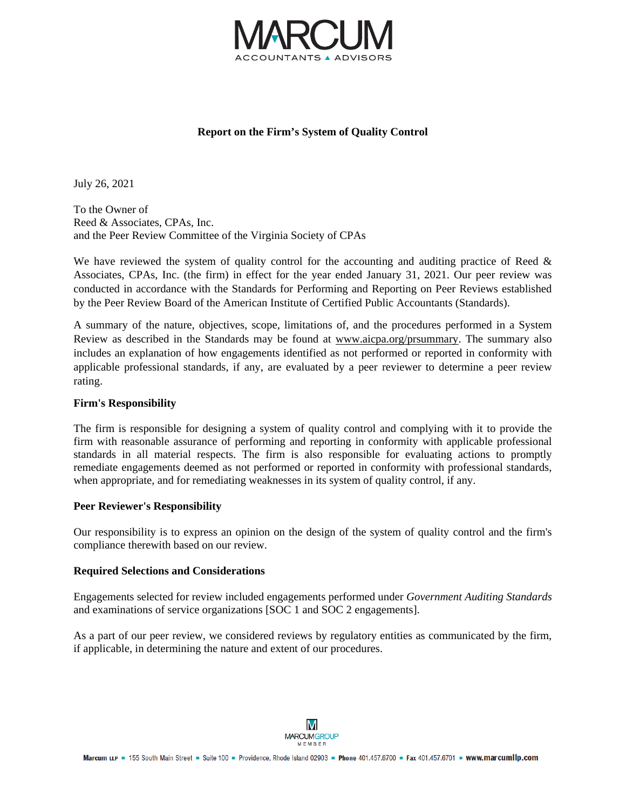

# **Report on the Firm's System of Quality Control**

July 26, 2021

To the Owner of Reed & Associates, CPAs, Inc. and the Peer Review Committee of the Virginia Society of CPAs

We have reviewed the system of quality control for the accounting and auditing practice of Reed & Associates, CPAs, Inc. (the firm) in effect for the year ended January 31, 2021. Our peer review was conducted in accordance with the Standards for Performing and Reporting on Peer Reviews established by the Peer Review Board of the American Institute of Certified Public Accountants (Standards).

A summary of the nature, objectives, scope, limitations of, and the procedures performed in a System Review as described in the Standards may be found at www.aicpa.org/prsummary. The summary also includes an explanation of how engagements identified as not performed or reported in conformity with applicable professional standards, if any, are evaluated by a peer reviewer to determine a peer review rating.

### **Firm's Responsibility**

The firm is responsible for designing a system of quality control and complying with it to provide the firm with reasonable assurance of performing and reporting in conformity with applicable professional standards in all material respects. The firm is also responsible for evaluating actions to promptly remediate engagements deemed as not performed or reported in conformity with professional standards, when appropriate, and for remediating weaknesses in its system of quality control, if any.

### **Peer Reviewer's Responsibility**

Our responsibility is to express an opinion on the design of the system of quality control and the firm's compliance therewith based on our review.

### **Required Selections and Considerations**

Engagements selected for review included engagements performed under *Government Auditing Standards* and examinations of service organizations [SOC 1 and SOC 2 engagements].

As a part of our peer review, we considered reviews by regulatory entities as communicated by the firm, if applicable, in determining the nature and extent of our procedures.

M